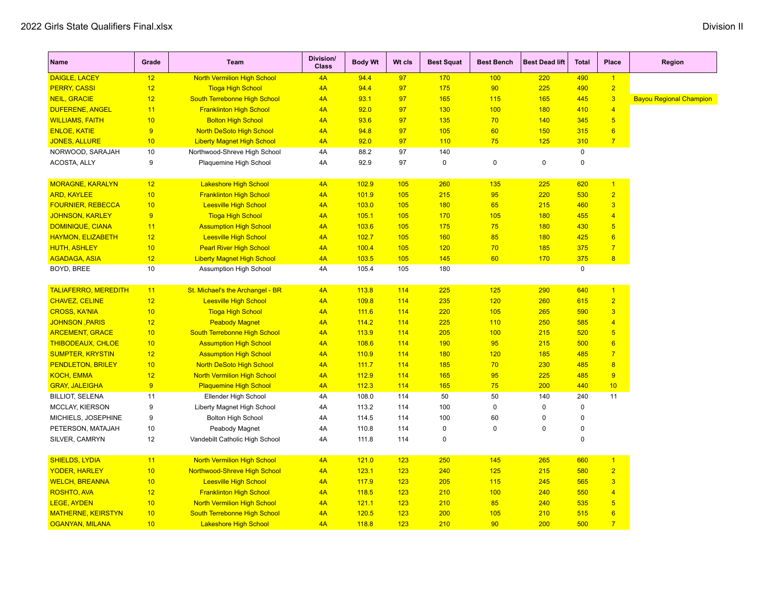| <b>Name</b>                 | Grade | <b>Team</b>                         | Division/<br><b>Class</b> | <b>Body Wt</b> | Wt cls | <b>Best Squat</b> | <b>Best Bench</b> | <b>Best Dead lift</b> | <b>Total</b> | <b>Place</b>            | Region                         |
|-----------------------------|-------|-------------------------------------|---------------------------|----------------|--------|-------------------|-------------------|-----------------------|--------------|-------------------------|--------------------------------|
| <b>DAIGLE, LACEY</b>        | 12    | <b>North Vermilion High School</b>  | 4A                        | 94.4           | 97     | 170               | 100               | 220                   | 490          | $\vert$ 1               |                                |
| <b>PERRY, CASSI</b>         | 12    | <b>Tioga High School</b>            | 4A                        | 94.4           | 97     | 175               | 90                | 225                   | 490          | $\overline{2}$          |                                |
| <b>NEIL, GRACIE</b>         | 12    | South Terrebonne High School        | 4A                        | 93.1           | 97     | 165               | 115               | 165                   | 445          | $\overline{\mathbf{3}}$ | <b>Bayou Regional Champion</b> |
| <b>DUFERENE, ANGEL</b>      | 11    | <b>Franklinton High School</b>      | 4A                        | 92.0           | 97     | 130               | 100               | 180                   | 410          | $\overline{4}$          |                                |
| <b>WILLIAMS, FAITH</b>      | 10    | <b>Bolton High School</b>           | 4A                        | 93.6           | 97     | <b>135</b>        | 70                | 140                   | 345          | $5\overline{)}$         |                                |
| <b>ENLOE, KATIE</b>         | 9     | <b>North DeSoto High School</b>     | 4A                        | 94.8           | 97     | 105               | 60                | 150                   | 315          | $6\phantom{a}$          |                                |
| <b>JONES, ALLURE</b>        | 10    | <b>Liberty Magnet High School</b>   | 4A                        | 92.0           | 97     | 110               | 75                | 125                   | 310          | $\overline{7}$          |                                |
| NORWOOD, SARAJAH            | 10    | Northwood-Shreve High School        | 4A                        | 88.2           | 97     | 140               |                   |                       | 0            |                         |                                |
| ACOSTA, ALLY                | 9     | Plaquemine High School              | 4A                        | 92.9           | 97     | $\mathbf 0$       | $\pmb{0}$         | $\pmb{0}$             | 0            |                         |                                |
| <b>MORAGNE, KARALYN</b>     | 12    | <b>Lakeshore High School</b>        | 4A                        | 102.9          | 105    | 260               | 135               | 225                   | 620          | $\vert$ 1               |                                |
| <b>ARD, KAYLEE</b>          | 10    | <b>Franklinton High School</b>      | 4A                        | 101.9          | 105    | 215               | 95                | 220                   | 530          | $\overline{2}$          |                                |
| <b>FOURNIER, REBECCA</b>    | 10    | <b>Leesville High School</b>        | 4A                        | 103.0          | 105    | 180               | 65                | 215                   | 460          | $\overline{3}$          |                                |
| <b>JOHNSON, KARLEY</b>      | 9     | <b>Tioga High School</b>            | 4A                        | 105.1          | 105    | 170               | 105               | 180                   | 455          | $\overline{4}$          |                                |
| <b>DOMINIQUE, CIANA</b>     | 11    | <b>Assumption High School</b>       | 4A                        | 103.6          | 105    | 175               | 75                | 180                   | 430          | $5\overline{)}$         |                                |
| <b>HAYMON, ELIZABETH</b>    | 12    | <b>Leesville High School</b>        | 4A                        | 102.7          | 105    | 160               | 85                | 180                   | 425          | $6\phantom{a}$          |                                |
| <b>HUTH, ASHLEY</b>         | 10    | <b>Pearl River High School</b>      | 4A                        | 100.4          | 105    | 120               | 70                | 185                   | 375          | $\overline{7}$          |                                |
| <b>AGADAGA, ASIA</b>        | 12    | <b>Liberty Magnet High School</b>   | 4A                        | 103.5          | 105    | 145               | 60                | 170                   | 375          | 8                       |                                |
| BOYD, BREE                  | 10    | Assumption High School              | 4A                        | 105.4          | 105    | 180               |                   |                       | 0            |                         |                                |
| <b>TALIAFERRO, MEREDITH</b> | 11    | St. Michael's the Archangel - BR    | 4A                        | 113.8          | 114    | <b>225</b>        | 125               | 290                   | 640          | $\overline{1}$          |                                |
| <b>CHAVEZ, CELINE</b>       | 12    | <b>Leesville High School</b>        | 4A                        | 109.8          | 114    | 235               | 120               | 260                   | 615          | $\overline{2}$          |                                |
| <b>CROSS, KA'NIA</b>        | 10    | <b>Tioga High School</b>            | 4A                        | 111.6          | 114    | 220               | 105               | 265                   | 590          | $\overline{3}$          |                                |
| <b>JOHNSON, PARIS</b>       | 12    | <b>Peabody Magnet</b>               | 4A                        | 114.2          | 114    | 225               | 110               | 250                   | 585          | $\overline{4}$          |                                |
| <b>ARCEMENT, GRACE</b>      | 10    | South Terrebonne High School        | 4A                        | 113.9          | 114    | 205               | 100               | 215                   | 520          | $5\overline{5}$         |                                |
| <b>THIBODEAUX, CHLOE</b>    | 10    | <b>Assumption High School</b>       | 4A                        | 108.6          | 114    | 190               | 95                | 215                   | 500          | 6                       |                                |
| <b>SUMPTER, KRYSTIN</b>     | 12    | <b>Assumption High School</b>       | 4A                        | 110.9          | 114    | 180               | 120               | 185                   | 485          | $\overline{7}$          |                                |
| <b>PENDLETON, BRILEY</b>    | 10    | <b>North DeSoto High School</b>     | 4A                        | 111.7          | 114    | 185               | 70                | 230                   | 485          | 8                       |                                |
| <b>KOCH, EMMA</b>           | 12    | <b>North Vermilion High School</b>  | 4A                        | 112.9          | 114    | <b>165</b>        | 95                | 225                   | 485          | 9                       |                                |
| <b>GRAY, JALEIGHA</b>       | 9     | <b>Plaquemine High School</b>       | 4A                        | 112.3          | 114    | <b>165</b>        | 75                | 200                   | 440          | 10                      |                                |
| <b>BILLIOT, SELENA</b>      | 11    | Ellender High School                | 4A                        | 108.0          | 114    | 50                | 50                | 140                   | 240          | 11                      |                                |
| MCCLAY, KIERSON             | 9     | Liberty Magnet High School          | 4A                        | 113.2          | 114    | 100               | $\pmb{0}$         | $\mathbf 0$           | 0            |                         |                                |
| MICHIELS, JOSEPHINE         | 9     | <b>Bolton High School</b>           | 4A                        | 114.5          | 114    | 100               | 60                | $\Omega$              | 0            |                         |                                |
| PETERSON, MATAJAH           | 10    | Peabody Magnet                      | 4A                        | 110.8          | 114    | $\mathbf 0$       | $\pmb{0}$         | $\mathbf 0$           | 0            |                         |                                |
| SILVER, CAMRYN              | 12    | Vandebilt Catholic High School      | 4A                        | 111.8          | 114    | $\mathbf 0$       |                   |                       | 0            |                         |                                |
| <b>SHIELDS, LYDIA</b>       | 11    | <b>North Vermilion High School</b>  | 4A                        | 121.0          | 123    | 250               | 145               | 265                   | 660          | $\overline{1}$          |                                |
| <b>YODER, HARLEY</b>        | 10    | Northwood-Shreve High School        | 4A                        | 123.1          | 123    | 240               | 125               | 215                   | 580          | $\overline{2}$          |                                |
| <b>WELCH, BREANNA</b>       | 10    | <b>Leesville High School</b>        | 4A                        | 117.9          | 123    | 205               | 115               | 245                   | 565          | $\overline{3}$          |                                |
| <b>ROSHTO, AVA</b>          | 12    | <b>Franklinton High School</b>      | 4A                        | 118.5          | 123    | 210               | 100               | 240                   | 550          | $\overline{4}$          |                                |
| <b>LEGE, AYDEN</b>          | 10    | <b>North Vermilion High School</b>  | 4A                        | 121.1          | 123    | 210               | 85                | 240                   | 535          | $\sqrt{5}$              |                                |
| <b>MATHERNE, KEIRSTYN</b>   | 10    | <b>South Terrebonne High School</b> | 4A                        | 120.5          | 123    | 200               | 105               | 210                   | 515          | 6                       |                                |
| <b>OGANYAN, MILANA</b>      | 10    | <b>Lakeshore High School</b>        | 4A                        | 118.8          | 123    | 210               | 90                | 200                   | 500          | $\overline{7}$          |                                |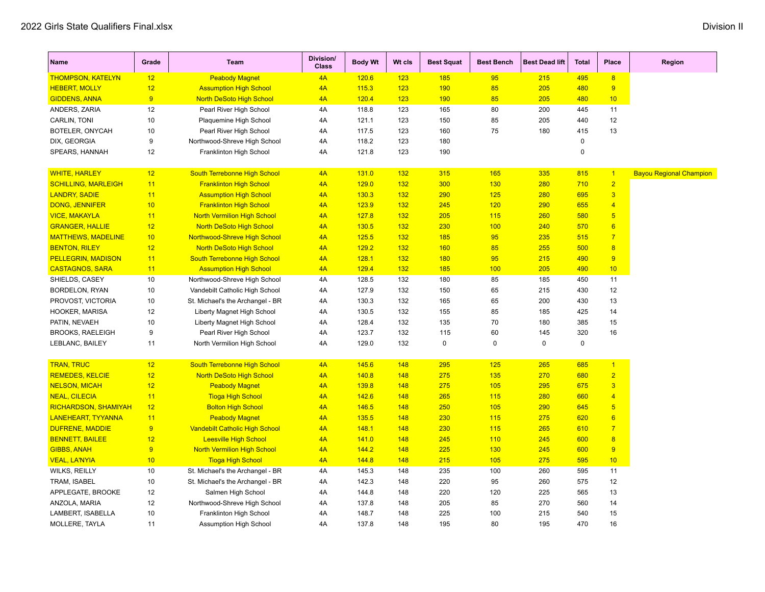| <b>Name</b>                | Grade | <b>Team</b>                           | Division/<br><b>Class</b> | <b>Body Wt</b> | Wt cls | <b>Best Squat</b> | <b>Best Bench</b> | <b>Best Dead lift</b> | <b>Total</b> | Place          | <b>Region</b>                  |
|----------------------------|-------|---------------------------------------|---------------------------|----------------|--------|-------------------|-------------------|-----------------------|--------------|----------------|--------------------------------|
| <b>THOMPSON, KATELYN</b>   | 12    | <b>Peabody Magnet</b>                 | 4A                        | 120.6          | 123    | <b>185</b>        | 95                | 215                   | 495          | 8              |                                |
| <b>HEBERT, MOLLY</b>       | 12    | <b>Assumption High School</b>         | 4A                        | 115.3          | 123    | 190               | 85                | 205                   | 480          | 9              |                                |
| <b>GIDDENS, ANNA</b>       | 9     | <b>North DeSoto High School</b>       | 4A                        | 120.4          | 123    | 190               | 85                | 205                   | 480          | 10             |                                |
| ANDERS, ZARIA              | 12    | Pearl River High School               | 4A                        | 118.8          | 123    | 165               | 80                | 200                   | 445          | 11             |                                |
| CARLIN, TONI               | 10    | Plaquemine High School                | 4A                        | 121.1          | 123    | 150               | 85                | 205                   | 440          | 12             |                                |
| BOTELER, ONYCAH            | 10    | Pearl River High School               | 4A                        | 117.5          | 123    | 160               | 75                | 180                   | 415          | 13             |                                |
| DIX, GEORGIA               | 9     | Northwood-Shreve High School          | 4A                        | 118.2          | 123    | 180               |                   |                       | 0            |                |                                |
| SPEARS, HANNAH             | 12    | Franklinton High School               | 4A                        | 121.8          | 123    | 190               |                   |                       | $\mathbf 0$  |                |                                |
| <b>WHITE, HARLEY</b>       | 12    | South Terrebonne High School          | 4A                        | 131.0          | 132    | 315               | 165               | 335                   | 815          | $\vert$ 1      | <b>Bayou Regional Champion</b> |
| <b>SCHILLING, MARLEIGH</b> | 11    | <b>Franklinton High School</b>        | 4A                        | 129.0          | 132    | 300               | 130               | 280                   | 710          | 2 <sup>2</sup> |                                |
| <b>LANDRY, SADIE</b>       | 11    | <b>Assumption High School</b>         | 4A                        | 130.3          | 132    | 290               | 125               | 280                   | 695          | 3 <sup>5</sup> |                                |
| <b>DONG, JENNIFER</b>      | 10    | <b>Franklinton High School</b>        | 4A                        | 123.9          | 132    | 245               | 120               | 290                   | 655          | $\overline{4}$ |                                |
| <b>VICE, MAKAYLA</b>       | 11    | <b>North Vermilion High School</b>    | 4A                        | 127.8          | 132    | 205               | <b>115</b>        | 260                   | 580          | $5\phantom{1}$ |                                |
| <b>GRANGER, HALLIE</b>     | 12    | <b>North DeSoto High School</b>       | 4A                        | 130.5          | 132    | 230               | 100               | 240                   | 570          | 6              |                                |
| <b>MATTHEWS, MADELINE</b>  | 10    | <b>Northwood-Shreve High School</b>   | 4A                        | 125.5          | 132    | 185               | 95                | 235                   | 515          | $\overline{7}$ |                                |
| <b>BENTON, RILEY</b>       | 12    | <b>North DeSoto High School</b>       | 4A                        | 129.2          | 132    | 160               | 85                | 255                   | 500          | $\overline{8}$ |                                |
| <b>PELLEGRIN, MADISON</b>  | 11    | South Terrebonne High School          | 4A                        | 128.1          | 132    | 180               | 95                | 215                   | 490          | 9              |                                |
| <b>CASTAGNOS, SARA</b>     | 11    | <b>Assumption High School</b>         | 4A                        | 129.4          | 132    | <b>185</b>        | 100               | 205                   | 490          | 10             |                                |
| SHIELDS, CASEY             | 10    | Northwood-Shreve High School          | 4A                        | 128.5          | 132    | 180               | 85                | 185                   | 450          | 11             |                                |
| BORDELON, RYAN             | 10    | Vandebilt Catholic High School        | 4A                        | 127.9          | 132    | 150               | 65                | 215                   | 430          | 12             |                                |
| PROVOST, VICTORIA          | 10    | St. Michael's the Archangel - BR      | 4A                        | 130.3          | 132    | 165               | 65                | 200                   | 430          | 13             |                                |
| HOOKER, MARISA             | 12    | Liberty Magnet High School            | 4A                        | 130.5          | 132    | 155               | 85                | 185                   | 425          | 14             |                                |
| PATIN, NEVAEH              | 10    | Liberty Magnet High School            | 4A                        | 128.4          | 132    | 135               | 70                | 180                   | 385          | 15             |                                |
| <b>BROOKS, RAELEIGH</b>    | 9     | Pearl River High School               | 4A                        | 123.7          | 132    | 115               | 60                | 145                   | 320          | 16             |                                |
| LEBLANC, BAILEY            | 11    | North Vermilion High School           | 4A                        | 129.0          | 132    | 0                 | $\pmb{0}$         | $\mathbf 0$           | 0            |                |                                |
| <b>TRAN, TRUC</b>          | 12    | South Terrebonne High School          | 4A                        | 145.6          | 148    | 295               | 125               | 265                   | 685          | $\mathbf{1}$   |                                |
| <b>REMEDES, KELCIE</b>     | 12    | <b>North DeSoto High School</b>       | 4A                        | 140.8          | 148    | 275               | 135               | 270                   | 680          | $\overline{2}$ |                                |
| <b>NELSON, MICAH</b>       | 12    | <b>Peabody Magnet</b>                 | 4A                        | 139.8          | 148    | 275               | 105               | 295                   | 675          | 3              |                                |
| <b>NEAL, CILECIA</b>       | 11    | <b>Tioga High School</b>              | 4A                        | 142.6          | 148    | 265               | 115               | 280                   | 660          | $\overline{4}$ |                                |
| RICHARDSON, SHAMIYAH       | 12    | <b>Bolton High School</b>             | 4A                        | 146.5          | 148    | 250               | 105               | 290                   | 645          | $\overline{5}$ |                                |
| <b>LANEHEART, TYYANNA</b>  | 11    | <b>Peabody Magnet</b>                 | 4A                        | 135.5          | 148    | 230               | 115               | 275                   | 620          | 6              |                                |
| <b>DUFRENE, MADDIE</b>     | 9     | <b>Vandebilt Catholic High School</b> | 4A                        | 148.1          | 148    | 230               | 115               | 265                   | 610          | $\overline{7}$ |                                |
| <b>BENNETT, BAILEE</b>     | 12    | <b>Leesville High School</b>          | 4A                        | 141.0          | 148    | 245               | 110               | 245                   | 600          | $\overline{8}$ |                                |
| <b>GIBBS, ANAH</b>         | 9     | <b>North Vermilion High School</b>    | 4A                        | 144.2          | 148    | <b>225</b>        | 130               | 245                   | 600          | 9              |                                |
| <b>VEAL, LA'NYIA</b>       | 10    | <b>Tioga High School</b>              | 4A                        | 144.8          | 148    | 215               | 105               | 275                   | 595          | 10             |                                |
| WILKS, REILLY              | 10    | St. Michael's the Archangel - BR      | 4A                        | 145.3          | 148    | 235               | 100               | 260                   | 595          | 11             |                                |
| TRAM, ISABEL               | 10    | St. Michael's the Archangel - BR      | 4A                        | 142.3          | 148    | 220               | 95                | 260                   | 575          | 12             |                                |
| APPLEGATE, BROOKE          | 12    | Salmen High School                    | 4A                        | 144.8          | 148    | 220               | 120               | 225                   | 565          | 13             |                                |
| ANZOLA, MARIA              | 12    | Northwood-Shreve High School          | 4A                        | 137.8          | 148    | 205               | 85                | 270                   | 560          | 14             |                                |
| LAMBERT, ISABELLA          | 10    | Franklinton High School               | 4A                        | 148.7          | 148    | 225               | 100               | 215                   | 540          | 15             |                                |
| <b>MOLLERE, TAYLA</b>      | 11    | <b>Assumption High School</b>         | 4A                        | 137.8          | 148    | 195               | 80                | 195                   | 470          | 16             |                                |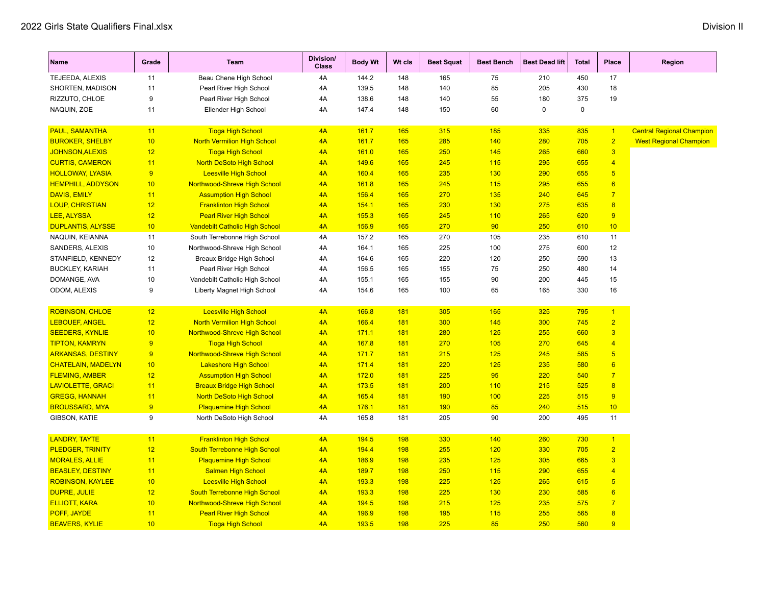| <b>Name</b>               | Grade | <b>Team</b>                           | Division/<br><b>Class</b> | <b>Body Wt</b> | Wt cls | <b>Best Squat</b> | <b>Best Bench</b> | <b>Best Dead lift</b> | <b>Total</b> | Place                | <b>Region</b>                    |
|---------------------------|-------|---------------------------------------|---------------------------|----------------|--------|-------------------|-------------------|-----------------------|--------------|----------------------|----------------------------------|
| TEJEEDA, ALEXIS           | 11    | Beau Chene High School                | 4A                        | 144.2          | 148    | 165               | 75                | 210                   | 450          | 17                   |                                  |
| SHORTEN, MADISON          | 11    | Pearl River High School               | 4A                        | 139.5          | 148    | 140               | 85                | 205                   | 430          | 18                   |                                  |
| RIZZUTO, CHLOE            | 9     | Pearl River High School               | 4A                        | 138.6          | 148    | 140               | 55                | 180                   | 375          | 19                   |                                  |
| NAQUIN, ZOE               | 11    | Ellender High School                  | 4A                        | 147.4          | 148    | 150               | 60                | 0                     | $\mathbf 0$  |                      |                                  |
|                           |       |                                       |                           |                |        |                   |                   |                       |              |                      |                                  |
| <b>PAUL, SAMANTHA</b>     | 11    | <b>Tioga High School</b>              | 4A                        | 161.7          | 165    | 315               | 185               | 335                   | 835          | $\blacktriangleleft$ | <b>Central Regional Champion</b> |
| <b>BUROKER, SHELBY</b>    | 10    | <b>North Vermilion High School</b>    | 4A                        | 161.7          | 165    | 285               | 140               | 280                   | 705          | $\overline{2}$       | <b>West Regional Champion</b>    |
| <b>JOHNSON, ALEXIS</b>    | 12    | <b>Tioga High School</b>              | 4A                        | 161.0          | 165    | 250               | 145               | 265                   | 660          | $\overline{3}$       |                                  |
| <b>CURTIS, CAMERON</b>    | 11    | <b>North DeSoto High School</b>       | 4A                        | 149.6          | 165    | 245               | 115               | 295                   | 655          | $\overline{4}$       |                                  |
| <b>HOLLOWAY, LYASIA</b>   | 9     | <b>Leesville High School</b>          | 4A                        | 160.4          | 165    | 235               | 130               | 290                   | 655          | $5\overline{)}$      |                                  |
| <b>HEMPHILL, ADDYSON</b>  | 10    | Northwood-Shreve High School          | 4A                        | 161.8          | 165    | 245               | 115               | 295                   | 655          | 6                    |                                  |
| <b>DAVIS, EMILY</b>       | 11    | <b>Assumption High School</b>         | 4A                        | 156.4          | 165    | 270               | 135               | 240                   | 645          | $\overline{7}$       |                                  |
| <b>LOUP, CHRISTIAN</b>    | 12    | <b>Franklinton High School</b>        | 4A                        | 154.1          | 165    | 230               | 130               | 275                   | 635          | 8                    |                                  |
| <b>LEE, ALYSSA</b>        | 12    | <b>Pearl River High School</b>        | 4A                        | 155.3          | 165    | 245               | 110               | 265                   | 620          | 9                    |                                  |
| <b>DUPLANTIS, ALYSSE</b>  | 10    | <b>Vandebilt Catholic High School</b> | 4A                        | 156.9          | 165    | 270               | 90                | 250                   | 610          | 10 <sup>°</sup>      |                                  |
| NAQUIN, KEIANNA           | 11    | South Terrebonne High School          | 4A                        | 157.2          | 165    | 270               | 105               | 235                   | 610          | 11                   |                                  |
| SANDERS, ALEXIS           | 10    | Northwood-Shreve High School          | 4A                        | 164.1          | 165    | 225               | 100               | 275                   | 600          | 12                   |                                  |
| STANFIELD, KENNEDY        | 12    | Breaux Bridge High School             | 4A                        | 164.6          | 165    | 220               | 120               | 250                   | 590          | 13                   |                                  |
| <b>BUCKLEY, KARIAH</b>    | 11    | Pearl River High School               | 4A                        | 156.5          | 165    | 155               | 75                | 250                   | 480          | 14                   |                                  |
| DOMANGE, AVA              | 10    | Vandebilt Catholic High School        | 4A                        | 155.1          | 165    | 155               | 90                | 200                   | 445          | 15                   |                                  |
| ODOM, ALEXIS              | 9     | Liberty Magnet High School            | 4A                        | 154.6          | 165    | 100               | 65                | 165                   | 330          | 16                   |                                  |
|                           |       |                                       |                           |                |        |                   |                   |                       |              |                      |                                  |
| <b>ROBINSON, CHLOE</b>    | 12    | <b>Leesville High School</b>          | 4A                        | 166.8          | 181    | 305               | 165               | 325                   | 795          | $\blacktriangleleft$ |                                  |
| <b>LEBOUEF, ANGEL</b>     | 12    | <b>North Vermilion High School</b>    | 4A                        | 166.4          | 181    | 300               | 145               | 300                   | 745          | $\overline{2}$       |                                  |
| <b>SEEDERS, KYNLIE</b>    | 10    | Northwood-Shreve High School          | 4A                        | 171.1          | 181    | 280               | 125               | 255                   | 660          | $\overline{3}$       |                                  |
| <b>TIPTON, KAMRYN</b>     | 9     | <b>Tioga High School</b>              | 4A                        | 167.8          | 181    | 270               | 105               | 270                   | 645          | $\overline{4}$       |                                  |
| <b>ARKANSAS, DESTINY</b>  | 9     | Northwood-Shreve High School          | 4A                        | 171.7          | 181    | 215               | 125               | 245                   | 585          | $5\overline{)}$      |                                  |
| <b>CHATELAIN, MADELYN</b> | 10    | <b>Lakeshore High School</b>          | 4A                        | 171.4          | 181    | 220               | 125               | 235                   | 580          | $6\overline{6}$      |                                  |
| <b>FLEMING, AMBER</b>     | 12    | <b>Assumption High School</b>         | 4A                        | 172.0          | 181    | 225               | 95                | 220                   | 540          | $\overline{7}$       |                                  |
| <b>LAVIOLETTE, GRACI</b>  | 11    | <b>Breaux Bridge High School</b>      | 4A                        | 173.5          | 181    | 200               | 110               | 215                   | 525          | 8                    |                                  |
| <b>GREGG, HANNAH</b>      | 11    | <b>North DeSoto High School</b>       | 4A                        | 165.4          | 181    | 190               | 100               | 225                   | 515          | 9                    |                                  |
| <b>BROUSSARD, MYA</b>     | 9     | <b>Plaquemine High School</b>         | 4A                        | 176.1          | 181    | 190               | 85                | 240                   | 515          | 10 <sup>°</sup>      |                                  |
| GIBSON, KATIE             | 9     | North DeSoto High School              | 4A                        | 165.8          | 181    | 205               | 90                | 200                   | 495          | 11                   |                                  |
|                           |       |                                       |                           |                |        |                   |                   |                       |              |                      |                                  |
| <b>LANDRY, TAYTE</b>      | 11    | <b>Franklinton High School</b>        | 4A                        | 194.5          | 198    | 330               | 140               | 260                   | 730          | $\blacktriangleleft$ |                                  |
| <b>PLEDGER, TRINITY</b>   | 12    | <b>South Terrebonne High School</b>   | 4A                        | 194.4          | 198    | 255               | 120               | 330                   | 705          | $\overline{2}$       |                                  |
| <b>MORALES, ALLIE</b>     | 11    | <b>Plaquemine High School</b>         | 4A                        | 186.9          | 198    | 235               | 125               | 305                   | 665          | $\overline{3}$       |                                  |
| <b>BEASLEY, DESTINY</b>   | 11    | <b>Salmen High School</b>             | 4A                        | 189.7          | 198    | 250               | 115               | 290                   | 655          | $\overline{4}$       |                                  |
| <b>ROBINSON, KAYLEE</b>   | 10    | <b>Leesville High School</b>          | 4A                        | 193.3          | 198    | 225               | 125               | 265                   | 615          | $5\overline{)}$      |                                  |
| <b>DUPRE, JULIE</b>       | 12    | South Terrebonne High School          | 4A                        | 193.3          | 198    | 225               | 130               | 230                   | 585          | 6                    |                                  |
| <b>ELLIOTT, KARA</b>      | 10    | Northwood-Shreve High School          | 4A                        | 194.5          | 198    | 215               | 125               | 235                   | 575          | $\overline{7}$       |                                  |
| POFF, JAYDE               | 11    | <b>Pearl River High School</b>        | 4A                        | 196.9          | 198    | 195               | 115               | 255                   | 565          | 8                    |                                  |
| <b>BEAVERS, KYLIE</b>     | 10    | <b>Tioga High School</b>              | 4A                        | 193.5          | 198    | 225               | 85                | 250                   | 560          | 9                    |                                  |